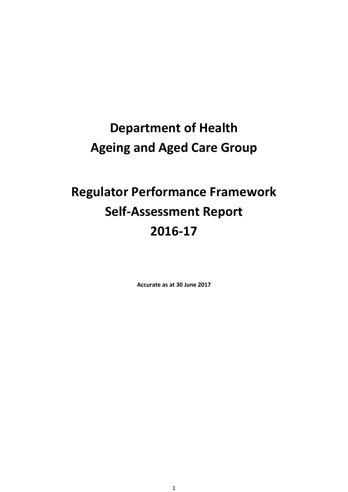# **Department of Health Ageing and Aged Care Group**

# **Regulator Performance Framework Self-Assessment Report 2016-17**

**Accurate as at 30 June 2017**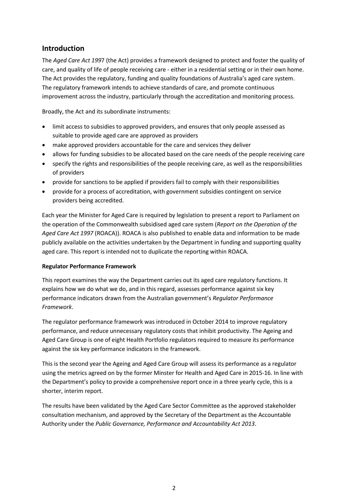#### **Introduction**

The *Aged Care Act 199*7 (the Act) provides a framework designed to protect and foster the quality of care, and quality of life of people receiving care - either in a residential setting or in their own home. The Act provides the regulatory, funding and quality foundations of Australia's aged care system. The regulatory framework intends to achieve standards of care, and promote continuous improvement across the industry, particularly through the accreditation and monitoring process.

Broadly, the Act and its subordinate instruments:

- limit access to subsidies to approved providers, and ensures that only people assessed as suitable to provide aged care are approved as providers
- make approved providers accountable for the care and services they deliver
- allows for funding subsidies to be allocated based on the care needs of the people receiving care
- specify the rights and responsibilities of the people receiving care, as well as the responsibilities of providers
- provide for sanctions to be applied if providers fail to comply with their responsibilities
- provide for a process of accreditation, with government subsidies contingent on service providers being accredited.

Each year the Minister for Aged Care is required by legislation to present a report to Parliament on the operation of the Commonwealth subsidised aged care system (*Report on the Operation of the Aged Care Act 1997* (ROACA)). ROACA is also published to enable data and information to be made publicly available on the activities undertaken by the Department in funding and supporting quality aged care. This report is intended not to duplicate the reporting within ROACA.

#### **Regulator Performance Framework**

This report examines the way the Department carries out its aged care regulatory functions. It explains how we do what we do, and in this regard, assesses performance against six key performance indicators drawn from the Australian government's *Regulator Performance Framework*.

The regulator performance framework was introduced in October 2014 to improve regulatory performance, and reduce unnecessary regulatory costs that inhibit productivity. The Ageing and Aged Care Group is one of eight Health Portfolio regulators required to measure its performance against the six key performance indicators in the framework.

This is the second year the Ageing and Aged Care Group will assess its performance as a regulator using the metrics agreed on by the former Minster for Health and Aged Care in 2015-16. In line with the Department's policy to provide a comprehensive report once in a three yearly cycle, this is a shorter, interim report.

The results have been validated by the Aged Care Sector Committee as the approved stakeholder consultation mechanism, and approved by the Secretary of the Department as the Accountable Authority under the *Public Governance, Performance and Accountability Act 2013*.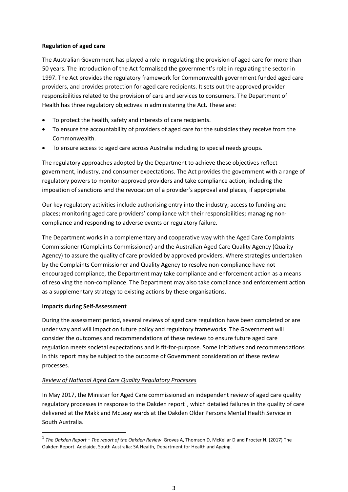#### **Regulation of aged care**

The Australian Government has played a role in regulating the provision of aged care for more than 50 years. The introduction of the Act formalised the government's role in regulating the sector in 1997. The Act provides the regulatory framework for Commonwealth government funded aged care providers, and provides protection for aged care recipients. It sets out the approved provider responsibilities related to the provision of care and services to consumers. The Department of Health has three regulatory objectives in administering the Act. These are:

- To protect the health, safety and interests of care recipients.
- To ensure the accountability of providers of aged care for the subsidies they receive from the Commonwealth.
- To ensure access to aged care across Australia including to special needs groups.

The regulatory approaches adopted by the Department to achieve these objectives reflect government, industry, and consumer expectations. The Act provides the government with a range of regulatory powers to monitor approved providers and take compliance action, including the imposition of sanctions and the revocation of a provider's approval and places, if appropriate.

Our key regulatory activities include authorising entry into the industry; access to funding and places; monitoring aged care providers' compliance with their responsibilities; managing noncompliance and responding to adverse events or regulatory failure.

The Department works in a complementary and cooperative way with the Aged Care Complaints Commissioner (Complaints Commissioner) and the Australian Aged Care Quality Agency (Quality Agency) to assure the quality of care provided by approved providers. Where strategies undertaken by the Complaints Commissioner and Quality Agency to resolve non-compliance have not encouraged compliance, the Department may take compliance and enforcement action as a means of resolving the non-compliance. The Department may also take compliance and enforcement action as a supplementary strategy to existing actions by these organisations.

#### **Impacts during Self-Assessment**

During the assessment period, several reviews of aged care regulation have been completed or are under way and will impact on future policy and regulatory frameworks. The Government will consider the outcomes and recommendations of these reviews to ensure future aged care regulation meets societal expectations and is fit-for-purpose. Some initiatives and recommendations in this report may be subject to the outcome of Government consideration of these review processes.

#### *Review of National Aged Care Quality Regulatory Processes*

In May 2017, the Minister for Aged Care commissioned an independent review of aged care quality regulatory processes in response to the Oakden report<sup>[1](#page-2-0)</sup>, which detailed failures in the quality of care delivered at the Makk and McLeay wards at the Oakden Older Persons Mental Health Service in South Australia.

<span id="page-2-0"></span> <sup>1</sup> *The Oakden Report - The report of the Oakden Review* Groves A, Thomson D, McKellar D and Procter N. (2017) The Oakden Report. Adelaide, South Australia: SA Health, Department for Health and Ageing.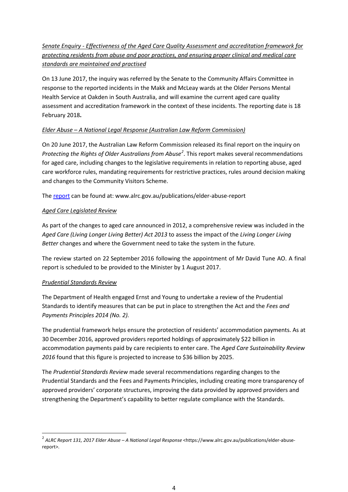#### *Senate Enquiry - Effectiveness of the Aged Care Quality Assessment and accreditation framework for protecting residents from abuse and poor practices, and ensuring proper clinical and medical care standards are maintained and practised*

On 13 June 2017, the inquiry was referred by the Senate to the Community Affairs Committee in response to the reported incidents in the Makk and McLeay wards at the Older Persons Mental Health Service at Oakden in South Australia, and will examine the current aged care quality assessment and accreditation framework in the context of these incidents. The reporting date is 18 February 2018**.**

#### *Elder Abuse – A National Legal Response (Australian Law Reform Commission)*

On 20 June 2017, the Australian Law Reform Commission released its final report on the inquiry on *Protecting the Rights of Older Australians from Abuse[2](#page-3-0)* . This report makes several recommendations for aged care, including changes to the legislative requirements in relation to reporting abuse, aged care workforce rules, mandating requirements for restrictive practices, rules around decision making and changes to the Community Visitors Scheme.

The [report](http://www.alrc.gov.au/publications/elder-abuse-report) can be found at: www.alrc.gov.au/publications/elder-abuse-report

#### *Aged Care Legislated Review*

As part of the changes to aged care announced in 2012, a comprehensive review was included in the *Aged Care (Living Longer Living Better) Act 2013* to assess the impact of the *Living Longer Living Better* changes and where the Government need to take the system in the future.

The review started on 22 September 2016 following the appointment of Mr David Tune AO. A final report is scheduled to be provided to the Minister by 1 August 2017.

#### *Prudential Standards Review*

The Department of Health engaged Ernst and Young to undertake a review of the Prudential Standards to identify measures that can be put in place to strengthen the Act and the *Fees and Payments Principles 2014 (No. 2).*

The prudential framework helps ensure the protection of residents' accommodation payments. As at 30 December 2016, approved providers reported holdings of approximately \$22 billion in accommodation payments paid by care recipients to enter care. The *Aged Care Sustainability Review 2016* found that this figure is projected to increase to \$36 billion by 2025.

The *Prudential Standards Review* made several recommendations regarding changes to the Prudential Standards and the Fees and Payments Principles, including creating more transparency of approved providers' corporate structures, improving the data provided by approved providers and strengthening the Department's capability to better regulate compliance with the Standards.

<span id="page-3-0"></span> <sup>2</sup> *ALRC Report 131, 2017 Elder Abuse – A National Legal Response* <https://www.alrc.gov.au/publications/elder-abusereport>.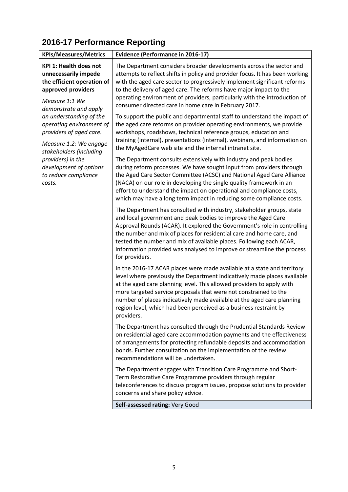## **2016-17 Performance Reporting**

| <b>KPIs/Measures/Metrics</b>                                                                                                                                                                                                                                                                                                                                                 | <b>Evidence (Performance in 2016-17)</b>                                                                                                                                                                                                                                                                                                                                                                                                                      |
|------------------------------------------------------------------------------------------------------------------------------------------------------------------------------------------------------------------------------------------------------------------------------------------------------------------------------------------------------------------------------|---------------------------------------------------------------------------------------------------------------------------------------------------------------------------------------------------------------------------------------------------------------------------------------------------------------------------------------------------------------------------------------------------------------------------------------------------------------|
| <b>KPI 1: Health does not</b><br>unnecessarily impede<br>the efficient operation of<br>approved providers<br>Measure 1:1 We<br>demonstrate and apply<br>an understanding of the<br>operating environment of<br>providers of aged care.<br>Measure 1.2: We engage<br>stakeholders (including<br>providers) in the<br>development of options<br>to reduce compliance<br>costs. | The Department considers broader developments across the sector and<br>attempts to reflect shifts in policy and provider focus. It has been working<br>with the aged care sector to progressively implement significant reforms<br>to the delivery of aged care. The reforms have major impact to the<br>operating environment of providers, particularly with the introduction of<br>consumer directed care in home care in February 2017.                   |
|                                                                                                                                                                                                                                                                                                                                                                              | To support the public and departmental staff to understand the impact of<br>the aged care reforms on provider operating environments, we provide<br>workshops, roadshows, technical reference groups, education and<br>training (internal), presentations (internal), webinars, and information on<br>the MyAgedCare web site and the internal intranet site.                                                                                                 |
|                                                                                                                                                                                                                                                                                                                                                                              | The Department consults extensively with industry and peak bodies<br>during reform processes. We have sought input from providers through<br>the Aged Care Sector Committee (ACSC) and National Aged Care Alliance<br>(NACA) on our role in developing the single quality framework in an<br>effort to understand the impact on operational and compliance costs,<br>which may have a long term impact in reducing some compliance costs.                     |
|                                                                                                                                                                                                                                                                                                                                                                              | The Department has consulted with industry, stakeholder groups, state<br>and local government and peak bodies to improve the Aged Care<br>Approval Rounds (ACAR). It explored the Government's role in controlling<br>the number and mix of places for residential care and home care, and<br>tested the number and mix of available places. Following each ACAR,<br>information provided was analysed to improve or streamline the process<br>for providers. |
|                                                                                                                                                                                                                                                                                                                                                                              | In the 2016-17 ACAR places were made available at a state and territory<br>level where previously the Department indicatively made places available<br>at the aged care planning level. This allowed providers to apply with<br>more targeted service proposals that were not constrained to the<br>number of places indicatively made available at the aged care planning<br>region level, which had been perceived as a business restraint by<br>providers. |
|                                                                                                                                                                                                                                                                                                                                                                              | The Department has consulted through the Prudential Standards Review<br>on residential aged care accommodation payments and the effectiveness<br>of arrangements for protecting refundable deposits and accommodation<br>bonds. Further consultation on the implementation of the review<br>recommendations will be undertaken.                                                                                                                               |
|                                                                                                                                                                                                                                                                                                                                                                              | The Department engages with Transition Care Programme and Short-<br>Term Restorative Care Programme providers through regular<br>teleconferences to discuss program issues, propose solutions to provider<br>concerns and share policy advice.<br>Self-assessed rating: Very Good                                                                                                                                                                             |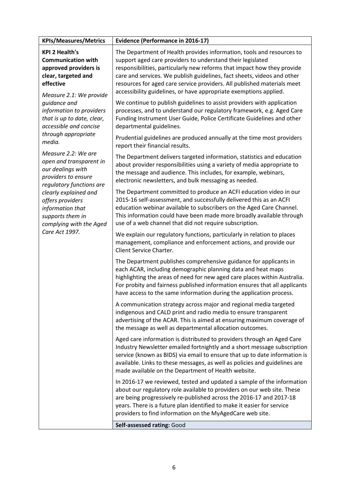| <b>KPIs/Measures/Metrics</b>                                                                                                                                                                                                                                                                                                                                                                                                                                                                                                                | <b>Evidence (Performance in 2016-17)</b>                                                                                                                                                                                                                                                                                                                                                                                                  |
|---------------------------------------------------------------------------------------------------------------------------------------------------------------------------------------------------------------------------------------------------------------------------------------------------------------------------------------------------------------------------------------------------------------------------------------------------------------------------------------------------------------------------------------------|-------------------------------------------------------------------------------------------------------------------------------------------------------------------------------------------------------------------------------------------------------------------------------------------------------------------------------------------------------------------------------------------------------------------------------------------|
| <b>KPI 2 Health's</b><br><b>Communication with</b><br>approved providers is<br>clear, targeted and<br>effective<br>Measure 2.1: We provide<br>guidance and<br>information to providers<br>that is up to date, clear,<br>accessible and concise<br>through appropriate<br>media.<br>Measure 2.2: We are<br>open and transparent in<br>our dealings with<br>providers to ensure<br>regulatory functions are<br>clearly explained and<br>offers providers<br>information that<br>supports them in<br>complying with the Aged<br>Care Act 1997. | The Department of Health provides information, tools and resources to<br>support aged care providers to understand their legislated<br>responsibilities, particularly new reforms that impact how they provide<br>care and services. We publish guidelines, fact sheets, videos and other<br>resources for aged care service providers. All published materials meet<br>accessibility guidelines, or have appropriate exemptions applied. |
|                                                                                                                                                                                                                                                                                                                                                                                                                                                                                                                                             | We continue to publish guidelines to assist providers with application<br>processes, and to understand our regulatory framework, e.g. Aged Care<br>Funding Instrument User Guide, Police Certificate Guidelines and other<br>departmental guidelines.                                                                                                                                                                                     |
|                                                                                                                                                                                                                                                                                                                                                                                                                                                                                                                                             | Prudential guidelines are produced annually at the time most providers<br>report their financial results.                                                                                                                                                                                                                                                                                                                                 |
|                                                                                                                                                                                                                                                                                                                                                                                                                                                                                                                                             | The Department delivers targeted information, statistics and education<br>about provider responsibilities using a variety of media appropriate to<br>the message and audience. This includes, for example, webinars,<br>electronic newsletters, and bulk messaging as needed.                                                                                                                                                             |
|                                                                                                                                                                                                                                                                                                                                                                                                                                                                                                                                             | The Department committed to produce an ACFI education video in our<br>2015-16 self-assessment, and successfully delivered this as an ACFI<br>education webinar available to subscribers on the Aged Care Channel.<br>This information could have been made more broadly available through<br>use of a web channel that did not require subscription.                                                                                      |
|                                                                                                                                                                                                                                                                                                                                                                                                                                                                                                                                             | We explain our regulatory functions, particularly in relation to places<br>management, compliance and enforcement actions, and provide our<br>Client Service Charter.                                                                                                                                                                                                                                                                     |
|                                                                                                                                                                                                                                                                                                                                                                                                                                                                                                                                             | The Department publishes comprehensive guidance for applicants in<br>each ACAR, including demographic planning data and heat maps<br>highlighting the areas of need for new aged care places within Australia.<br>For probity and fairness published information ensures that all applicants<br>have access to the same information during the application process.                                                                       |
|                                                                                                                                                                                                                                                                                                                                                                                                                                                                                                                                             | A communication strategy across major and regional media targeted<br>indigenous and CALD print and radio media to ensure transparent<br>advertising of the ACAR. This is aimed at ensuring maximum coverage of<br>the message as well as departmental allocation outcomes.                                                                                                                                                                |
|                                                                                                                                                                                                                                                                                                                                                                                                                                                                                                                                             | Aged care information is distributed to providers through an Aged Care<br>Industry Newsletter emailed fortnightly and a short message subscription<br>service (known as BIDS) via email to ensure that up to date information is<br>available. Links to these messages, as well as policies and guidelines are<br>made available on the Department of Health website.                                                                     |
|                                                                                                                                                                                                                                                                                                                                                                                                                                                                                                                                             | In 2016-17 we reviewed, tested and updated a sample of the information<br>about our regulatory role available to providers on our web site. These<br>are being progressively re-published across the 2016-17 and 2017-18<br>years. There is a future plan identified to make it easier for service<br>providers to find information on the MyAgedCare web site.                                                                           |
|                                                                                                                                                                                                                                                                                                                                                                                                                                                                                                                                             | Self-assessed rating: Good                                                                                                                                                                                                                                                                                                                                                                                                                |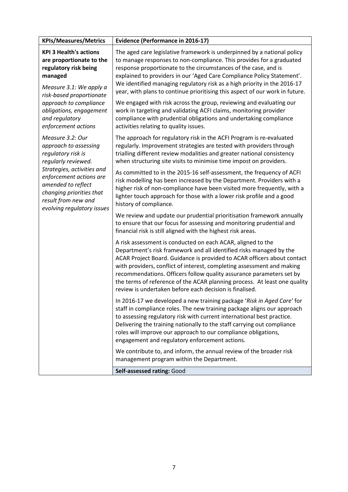| <b>KPIs/Measures/Metrics</b>                                                                                                                                                                                                                           | <b>Evidence (Performance in 2016-17)</b>                                                                                                                                                                                                                                                                                                                                                                                                                                                                |
|--------------------------------------------------------------------------------------------------------------------------------------------------------------------------------------------------------------------------------------------------------|---------------------------------------------------------------------------------------------------------------------------------------------------------------------------------------------------------------------------------------------------------------------------------------------------------------------------------------------------------------------------------------------------------------------------------------------------------------------------------------------------------|
| <b>KPI 3 Health's actions</b><br>are proportionate to the<br>regulatory risk being<br>managed<br>Measure 3.1: We apply a<br>risk-based proportionate<br>approach to compliance<br>obligations, engagement<br>and regulatory<br>enforcement actions     | The aged care legislative framework is underpinned by a national policy<br>to manage responses to non-compliance. This provides for a graduated<br>response proportionate to the circumstances of the case, and is<br>explained to providers in our 'Aged Care Compliance Policy Statement'.<br>We identified managing regulatory risk as a high priority in the 2016-17<br>year, with plans to continue prioritising this aspect of our work in future.                                                |
|                                                                                                                                                                                                                                                        | We engaged with risk across the group, reviewing and evaluating our<br>work in targeting and validating ACFI claims, monitoring provider<br>compliance with prudential obligations and undertaking compliance<br>activities relating to quality issues.                                                                                                                                                                                                                                                 |
| Measure 3.2: Our<br>approach to assessing<br>regulatory risk is<br>regularly reviewed.<br>Strategies, activities and<br>enforcement actions are<br>amended to reflect<br>changing priorities that<br>result from new and<br>evolving regulatory issues | The approach for regulatory risk in the ACFI Program is re-evaluated<br>regularly. Improvement strategies are tested with providers through<br>trialling different review modalities and greater national consistency<br>when structuring site visits to minimise time impost on providers.                                                                                                                                                                                                             |
|                                                                                                                                                                                                                                                        | As committed to in the 2015-16 self-assessment, the frequency of ACFI<br>risk modelling has been increased by the Department. Providers with a<br>higher risk of non-compliance have been visited more frequently, with a<br>lighter touch approach for those with a lower risk profile and a good<br>history of compliance.                                                                                                                                                                            |
|                                                                                                                                                                                                                                                        | We review and update our prudential prioritisation framework annually<br>to ensure that our focus for assessing and monitoring prudential and<br>financial risk is still aligned with the highest risk areas.                                                                                                                                                                                                                                                                                           |
|                                                                                                                                                                                                                                                        | A risk assessment is conducted on each ACAR, aligned to the<br>Department's risk framework and all identified risks managed by the<br>ACAR Project Board. Guidance is provided to ACAR officers about contact<br>with providers, conflict of interest, completing assessment and making<br>recommendations. Officers follow quality assurance parameters set by<br>the terms of reference of the ACAR planning process. At least one quality<br>review is undertaken before each decision is finalised. |
|                                                                                                                                                                                                                                                        | In 2016-17 we developed a new training package 'Risk in Aged Care' for<br>staff in compliance roles. The new training package aligns our approach<br>to assessing regulatory risk with current international best practice.<br>Delivering the training nationally to the staff carrying out compliance<br>roles will improve our approach to our compliance obligations,<br>engagement and regulatory enforcement actions.                                                                              |
|                                                                                                                                                                                                                                                        | We contribute to, and inform, the annual review of the broader risk<br>management program within the Department.                                                                                                                                                                                                                                                                                                                                                                                        |
|                                                                                                                                                                                                                                                        | Self-assessed rating: Good                                                                                                                                                                                                                                                                                                                                                                                                                                                                              |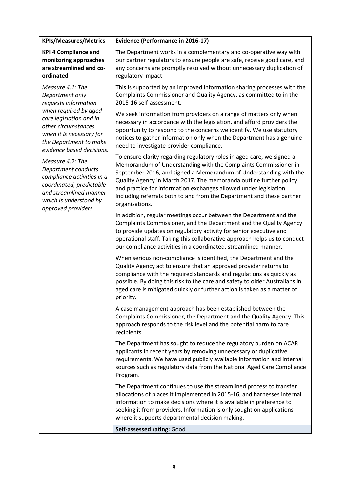| <b>KPIs/Measures/Metrics</b>                                                                                                                                                                                                                                                                                                                                                                              | <b>Evidence (Performance in 2016-17)</b>                                                                                                                                                                                                                                                                                                                                                                                                             |
|-----------------------------------------------------------------------------------------------------------------------------------------------------------------------------------------------------------------------------------------------------------------------------------------------------------------------------------------------------------------------------------------------------------|------------------------------------------------------------------------------------------------------------------------------------------------------------------------------------------------------------------------------------------------------------------------------------------------------------------------------------------------------------------------------------------------------------------------------------------------------|
| <b>KPI 4 Compliance and</b><br>monitoring approaches<br>are streamlined and co-<br>ordinated                                                                                                                                                                                                                                                                                                              | The Department works in a complementary and co-operative way with<br>our partner regulators to ensure people are safe, receive good care, and<br>any concerns are promptly resolved without unnecessary duplication of<br>regulatory impact.                                                                                                                                                                                                         |
| Measure 4.1: The<br>Department only<br>requests information<br>when required by aged<br>care legislation and in<br>other circumstances<br>when it is necessary for<br>the Department to make<br>evidence based decisions.<br>Measure 4.2: The<br>Department conducts<br>compliance activities in a<br>coordinated, predictable<br>and streamlined manner<br>which is understood by<br>approved providers. | This is supported by an improved information sharing processes with the<br>Complaints Commissioner and Quality Agency, as committed to in the<br>2015-16 self-assessment.                                                                                                                                                                                                                                                                            |
|                                                                                                                                                                                                                                                                                                                                                                                                           | We seek information from providers on a range of matters only when<br>necessary in accordance with the legislation, and afford providers the<br>opportunity to respond to the concerns we identify. We use statutory<br>notices to gather information only when the Department has a genuine<br>need to investigate provider compliance.                                                                                                             |
|                                                                                                                                                                                                                                                                                                                                                                                                           | To ensure clarity regarding regulatory roles in aged care, we signed a<br>Memorandum of Understanding with the Complaints Commissioner in<br>September 2016, and signed a Memorandum of Understanding with the<br>Quality Agency in March 2017. The memoranda outline further policy<br>and practice for information exchanges allowed under legislation,<br>including referrals both to and from the Department and these partner<br>organisations. |
|                                                                                                                                                                                                                                                                                                                                                                                                           | In addition, regular meetings occur between the Department and the<br>Complaints Commissioner, and the Department and the Quality Agency<br>to provide updates on regulatory activity for senior executive and<br>operational staff. Taking this collaborative approach helps us to conduct<br>our compliance activities in a coordinated, streamlined manner.                                                                                       |
|                                                                                                                                                                                                                                                                                                                                                                                                           | When serious non-compliance is identified, the Department and the<br>Quality Agency act to ensure that an approved provider returns to<br>compliance with the required standards and regulations as quickly as<br>possible. By doing this risk to the care and safety to older Australians in<br>aged care is mitigated quickly or further action is taken as a matter of<br>priority.                                                               |
|                                                                                                                                                                                                                                                                                                                                                                                                           | A case management approach has been established between the<br>Complaints Commissioner, the Department and the Quality Agency. This<br>approach responds to the risk level and the potential harm to care<br>recipients.                                                                                                                                                                                                                             |
|                                                                                                                                                                                                                                                                                                                                                                                                           | The Department has sought to reduce the regulatory burden on ACAR<br>applicants in recent years by removing unnecessary or duplicative<br>requirements. We have used publicly available information and internal<br>sources such as regulatory data from the National Aged Care Compliance<br>Program.                                                                                                                                               |
|                                                                                                                                                                                                                                                                                                                                                                                                           | The Department continues to use the streamlined process to transfer<br>allocations of places it implemented in 2015-16, and harnesses internal<br>information to make decisions where it is available in preference to<br>seeking it from providers. Information is only sought on applications<br>where it supports departmental decision making.                                                                                                   |
|                                                                                                                                                                                                                                                                                                                                                                                                           | Self-assessed rating: Good                                                                                                                                                                                                                                                                                                                                                                                                                           |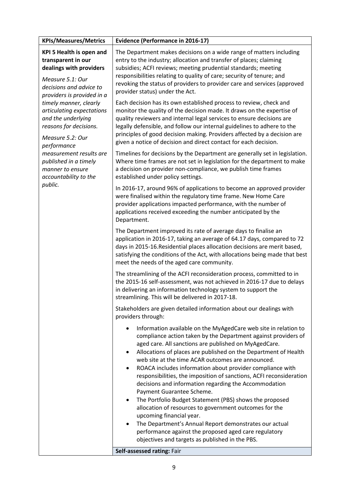| <b>KPIs/Measures/Metrics</b>                                                                                                                                                                                                                                                                                                                                                                                        | <b>Evidence (Performance in 2016-17)</b>                                                                                                                                                                                                                                                                                                                                                                                                                                                                                                                                                                                                                                                                                                                                                                                                                                  |
|---------------------------------------------------------------------------------------------------------------------------------------------------------------------------------------------------------------------------------------------------------------------------------------------------------------------------------------------------------------------------------------------------------------------|---------------------------------------------------------------------------------------------------------------------------------------------------------------------------------------------------------------------------------------------------------------------------------------------------------------------------------------------------------------------------------------------------------------------------------------------------------------------------------------------------------------------------------------------------------------------------------------------------------------------------------------------------------------------------------------------------------------------------------------------------------------------------------------------------------------------------------------------------------------------------|
| <b>KPI 5 Health is open and</b><br>transparent in our<br>dealings with providers<br>Measure 5.1: Our<br>decisions and advice to<br>providers is provided in a<br>timely manner, clearly<br>articulating expectations<br>and the underlying<br>reasons for decisions.<br>Measure 5.2: Our<br>performance<br>measurement results are<br>published in a timely<br>manner to ensure<br>accountability to the<br>public. | The Department makes decisions on a wide range of matters including<br>entry to the industry; allocation and transfer of places; claiming<br>subsidies; ACFI reviews; meeting prudential standards; meeting<br>responsibilities relating to quality of care; security of tenure; and<br>revoking the status of providers to provider care and services (approved<br>provider status) under the Act.                                                                                                                                                                                                                                                                                                                                                                                                                                                                       |
|                                                                                                                                                                                                                                                                                                                                                                                                                     | Each decision has its own established process to review, check and<br>monitor the quality of the decision made. It draws on the expertise of<br>quality reviewers and internal legal services to ensure decisions are<br>legally defensible, and follow our internal guidelines to adhere to the<br>principles of good decision making. Providers affected by a decision are<br>given a notice of decision and direct contact for each decision.                                                                                                                                                                                                                                                                                                                                                                                                                          |
|                                                                                                                                                                                                                                                                                                                                                                                                                     | Timelines for decisions by the Department are generally set in legislation.<br>Where time frames are not set in legislation for the department to make<br>a decision on provider non-compliance, we publish time frames<br>established under policy settings.                                                                                                                                                                                                                                                                                                                                                                                                                                                                                                                                                                                                             |
|                                                                                                                                                                                                                                                                                                                                                                                                                     | In 2016-17, around 96% of applications to become an approved provider<br>were finalised within the regulatory time frame. New Home Care<br>provider applications impacted performance, with the number of<br>applications received exceeding the number anticipated by the<br>Department.                                                                                                                                                                                                                                                                                                                                                                                                                                                                                                                                                                                 |
|                                                                                                                                                                                                                                                                                                                                                                                                                     | The Department improved its rate of average days to finalise an<br>application in 2016-17, taking an average of 64.17 days, compared to 72<br>days in 2015-16. Residential places allocation decisions are merit based,<br>satisfying the conditions of the Act, with allocations being made that best<br>meet the needs of the aged care community.                                                                                                                                                                                                                                                                                                                                                                                                                                                                                                                      |
|                                                                                                                                                                                                                                                                                                                                                                                                                     | The streamlining of the ACFI reconsideration process, committed to in<br>the 2015-16 self-assessment, was not achieved in 2016-17 due to delays<br>in delivering an information technology system to support the<br>streamlining. This will be delivered in 2017-18.                                                                                                                                                                                                                                                                                                                                                                                                                                                                                                                                                                                                      |
|                                                                                                                                                                                                                                                                                                                                                                                                                     | Stakeholders are given detailed information about our dealings with<br>providers through:                                                                                                                                                                                                                                                                                                                                                                                                                                                                                                                                                                                                                                                                                                                                                                                 |
|                                                                                                                                                                                                                                                                                                                                                                                                                     | Information available on the MyAgedCare web site in relation to<br>$\bullet$<br>compliance action taken by the Department against providers of<br>aged care. All sanctions are published on MyAgedCare.<br>Allocations of places are published on the Department of Health<br>٠<br>web site at the time ACAR outcomes are announced.<br>ROACA includes information about provider compliance with<br>$\bullet$<br>responsibilities, the imposition of sanctions, ACFI reconsideration<br>decisions and information regarding the Accommodation<br>Payment Guarantee Scheme.<br>The Portfolio Budget Statement (PBS) shows the proposed<br>$\bullet$<br>allocation of resources to government outcomes for the<br>upcoming financial year.<br>The Department's Annual Report demonstrates our actual<br>$\bullet$<br>performance against the proposed aged care regulatory |
|                                                                                                                                                                                                                                                                                                                                                                                                                     | objectives and targets as published in the PBS.<br>Self-assessed rating: Fair                                                                                                                                                                                                                                                                                                                                                                                                                                                                                                                                                                                                                                                                                                                                                                                             |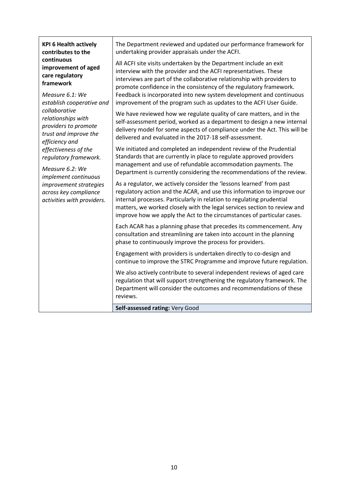| <b>KPI 6 Health actively</b><br>contributes to the                                                                                                                        | The Department reviewed and updated our performance framework for<br>undertaking provider appraisals under the ACFI.                                                                                                                                                                                                                                                                                                               |
|---------------------------------------------------------------------------------------------------------------------------------------------------------------------------|------------------------------------------------------------------------------------------------------------------------------------------------------------------------------------------------------------------------------------------------------------------------------------------------------------------------------------------------------------------------------------------------------------------------------------|
| continuous<br>improvement of aged<br>care regulatory<br>framework<br>Measure 6.1: We<br>establish cooperative and                                                         | All ACFI site visits undertaken by the Department include an exit<br>interview with the provider and the ACFI representatives. These<br>interviews are part of the collaborative relationship with providers to<br>promote confidence in the consistency of the regulatory framework.<br>Feedback is incorporated into new system development and continuous<br>improvement of the program such as updates to the ACFI User Guide. |
| collaborative<br>relationships with<br>providers to promote<br>trust and improve the<br>efficiency and                                                                    | We have reviewed how we regulate quality of care matters, and in the<br>self-assessment period, worked as a department to design a new internal<br>delivery model for some aspects of compliance under the Act. This will be<br>delivered and evaluated in the 2017-18 self-assessment.                                                                                                                                            |
| effectiveness of the<br>regulatory framework.<br>Measure 6.2: We<br>implement continuous<br>improvement strategies<br>across key compliance<br>activities with providers. | We initiated and completed an independent review of the Prudential<br>Standards that are currently in place to regulate approved providers<br>management and use of refundable accommodation payments. The<br>Department is currently considering the recommendations of the review.                                                                                                                                               |
|                                                                                                                                                                           | As a regulator, we actively consider the 'lessons learned' from past<br>regulatory action and the ACAR, and use this information to improve our<br>internal processes. Particularly in relation to regulating prudential<br>matters, we worked closely with the legal services section to review and<br>improve how we apply the Act to the circumstances of particular cases.                                                     |
|                                                                                                                                                                           | Each ACAR has a planning phase that precedes its commencement. Any<br>consultation and streamlining are taken into account in the planning<br>phase to continuously improve the process for providers.                                                                                                                                                                                                                             |
|                                                                                                                                                                           | Engagement with providers is undertaken directly to co-design and<br>continue to improve the STRC Programme and improve future regulation.                                                                                                                                                                                                                                                                                         |
|                                                                                                                                                                           | We also actively contribute to several independent reviews of aged care<br>regulation that will support strengthening the regulatory framework. The<br>Department will consider the outcomes and recommendations of these<br>reviews.                                                                                                                                                                                              |
|                                                                                                                                                                           | Self-assessed rating: Very Good                                                                                                                                                                                                                                                                                                                                                                                                    |